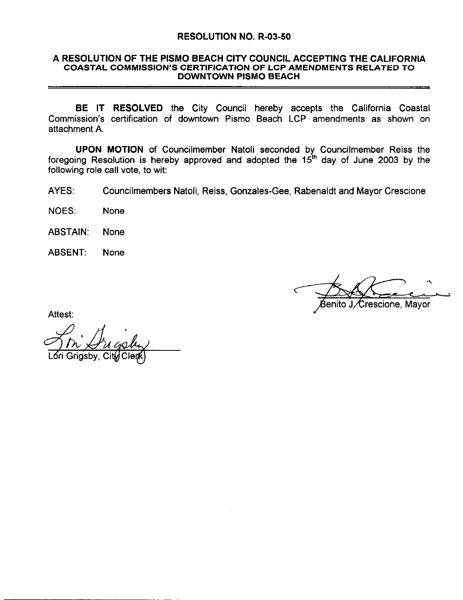### RESOLUTION NO. R-03-50

# A RESOLUTION OF THE PISMO BEACH CITY COUNCIL ACCEPTING THE CALIFORNIA<br>COASTAL COMMISSION'S CERTIFICATION OF LCP AMENDMENTS RELATED TO RESOLUTION NO. R-03-50<br>RESOLUTION OF THE PISMO BEACH CITY COUNCIL ACCEPTING THE CALIFORN<br>COASTAL COMMISSION'S CERTIFICATION OF LCP AMENDMENTS RELATED TO<br>DOWNTOWN PISMO BEACH DOWNTOWN PISMO BEACH

BE IT RESOLVED the City Council hereby accepts the California Coastal Commission's certification of downtown Pismo Beach LCP amendments as shown on RESOLUTION NO. R-03-50<br>
A RESOLUTION OF THE PISMO BEACH CITY COUNCIL ACCEPTING THE CALIFORNIA<br>
COASTAL COMMISSION'S CERTIFICATION OF LCP AMENDMENTS RELATED TO<br>
DOWNTOWN PISMO BEACH<br>
BE IT RESOLVED the City Council hereby a attachment A

UPON MOTION of Councilmember Natoli seconded by Councilmember Reiss the foregoing Resolution is hereby approved and adopted the 15<sup>th</sup> day of June 2003 by the following role call vote, to wit:

AYES Councilmembers Natoli, Reiss, Gonzales-Gee, Rabenaldt and Mayor Crescione

NOES None

ABSTAIN None

ABSENT None

escione, Mayor

Attest:

<u>フルノル</u><br>Lori Grigsby, Cit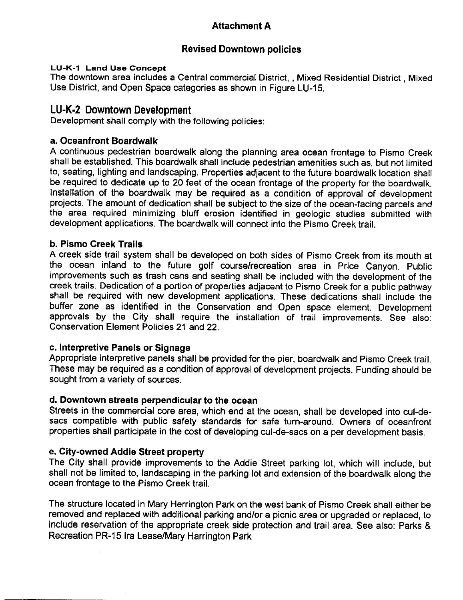### Attachment A

### Revised Downtown policies

Revised Downtown policies<br>21 Land Use Concept<br>The downtown area includes a Central commercial District, , Mixed Residential District , Mixed Lo-K-1 Land Ose Concept<br>The downtown area includes a Central commercial District, , Mixed I<br>Use District, and Open Space categories as shown in Figure LU-15.<br>LU-K-2 Downtown Development<br>Development shall comply with the fo

Development shall comply with the following policies

### a. Oceanfront Boardwalk

A continuous pedestrian boardwalk along the planning area ocean frontage to Pismo Creek shall be established. This boardwalk shall include pedestrian amenities such as, but not limited to, seating, lighting and landscaping. Properties adjacent to the future boardwalk location shall be required to dedicate up to 20 feet of the ocean frontage of the property for the boardwalk installation of the boardwalk may be required as <sup>a</sup> condition of approval of development projects. The amount of dedication shall be subject to the size of the ocean-facing parcels and the area required minimizing bluff erosion identified in geologic studies submitted with development applications. The boardwalk will connect into the Pismo Creek trail.

### b. Pismo Creek Trails

A creek side trail system shall be developed on both sides of Pismo Creek from its mouth at the ocean inland to the future golf course/recreation area in Price Canyon. Public **b. Pismo Creek Trails**<br>A creek side trail system shall be developed on both sides of Pismo Creek from its mouth at<br>the ocean inland to the future golf course/recreation area in Price Canyon. Public<br>improvements such as tr shall be required with new development applications. These dedications shall include the<br>buffer zone as identified in the Conservation and Open space element. Development miprovements such as trash cans and seating shall be included with the development of the creek trails. Dedication of a portion of properties adjacent to Pismo Creek for a public pathway shall be required with new developm approvals by the City shall require the installation of trail improvements. See also:<br>Conservation Element Policies 21 and 22.

### c. Interpretive Panels or Signage

orther panels or Signage<br>Appropriate interpretive panels shall be provided for the pier, boardwalk and Pismo Creek trail.<br>These may be required as a condition of approval of development projects. Funding should be sought f Expressive interpretive panels shall be provided for the pier, boardwalk and Pismo Creek trail.<br>These may be required as a condition of approval of development projects. Funding should be sought from a variety of sources.<br>

d. Downtown streets perpendicular to the ocean<br>Streets in the commercial core area, which end at the ocean, shall be developed into cul-de-<br>sacs compatible with public safety standards for safe turn-around. Owners of ocean

e. City-owned Addie Street property<br>The City shall provide improvements to the Addie Street parking lot, which will include, but sacs compatible with public safety standards for safe turn-around. Owners of oceanfront<br>properties shall participate in the cost of developing cul-de-sacs on a per development basis.<br>e. City-owned Addie Street property<br>The properties shall participate in the cost of developing cul-de-sacs on a per development basis.<br> **e. City-owned Addie Street property**<br>
The City shall provide improvements to the Addie Street parking lot, which will include

ocean frontage to the Pismo Creek trail.<br>The structure located in Mary Herrington Park on the west bank of Pismo Creek shall either be<br>removed and replaced with additional parking and/or a picnic area or upgraded or replac ocean frontage to the Pismo Creek trail.<br>The structure located in Mary Herrington Park on the west bank of Pismo Creek shall either be<br>removed and replaced with additional parking and/or a picnic area or upgraded or replac The structure located in Mary Herrington Park on the west bank of Pismo Creek shall either l<br>removed and replaced with additional parking and/or a picnic area or upgraded or replaced,<br>include reservation of the appropriate removed and replaced with additi<br>include reservation of the approp<br>Recreation PR-15 <mark>Ira Leas</mark>e/Mary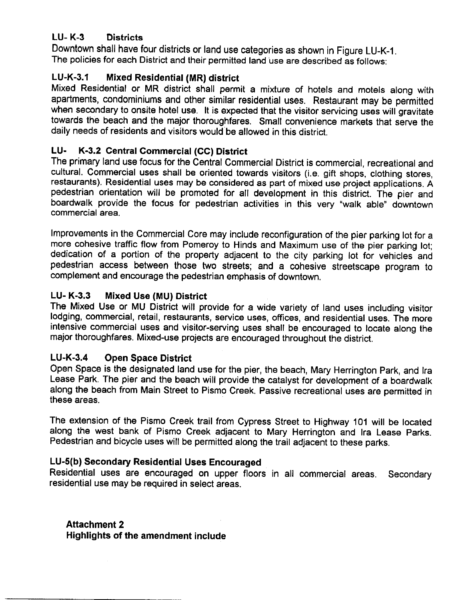## **LU-K-3** Districts

The policies for each District and their permitted land use are described as follows: L<mark>U- K-3 Districts</mark><br>Downtown shall have four districts or land use categories as shown in Figure LU-K-1.<br>The policies for each District and their permitted land use are described as follows: LU- K-3 Districts<br>Downtown shall have four districts or land use<br>The policies for each District and their permitte<br>LU-K-3.1 Mixed Residential (MR) district<br>Mixed Residential or MR district shall perm

Mixed Residential or MR district shall permit <sup>a</sup> mixture of hotels and motels along with apartments, condominiums and other similar residential uses. Restaurant may be permitted when secondary to onsite hotel use. It is expected that the visitor servicing uses will gravitate towards the beach and the major thoroughfares. Small convenience markets that serve the refluit and the major morodymates. Small convenient<br>daily needs of residents and visitors would be allowed in this district.<br>LU- K-3.2 Central Commercial (CC) District

The primary land use focus for the Central Commercial District is commercial recreational and daily needs of residents and visitors would be allowed in this district.<br> **CU- K-3.2 Central Commercial (CC) District**<br>
The primary land use focus for the Central Commercial District is commercial, recreational and<br>
cultur cultural. Commercial uses shall be oriented towards visitors (i.e. gift shops, clothing stores,<br>restaurants). Residential uses may be considered as part of mixed use project applications. A pedestrian orientation will be promoted for all development in this district. The pier and boardwalk provide the focus for pedestrian activities in this very "walk able" downtown commercial area

Improvements in the Commercial Core may include reconfiguration of the pier parking lot for <sup>a</sup> more cohesive traffic flow from Pomeroy to Hinds and Maximum use of the pier parking lot dedication of <sup>a</sup> portion of the property adjacent to the city parking lot for vehicles and pedestrian access between those two streets; and a cohesive streetscape program to poussinant access between those two streets, and a conesive<br>complement and encourage the pedestrian emphasis of downtown.<br>LU-K-3.3 Mixed Use (MU) District

The Mixed Use or MU District will provide for <sup>a</sup> wide variety of land uses including visitor lodging, commercial, retail, restaurants, service uses, offices, and residential uses. The more intensive commercial uses and visitor serving uses shall be encouraged to locate along the intensive commercial uses and visitor-serving uses shall be encouraged to lo<br>major thoroughfares. Mixed-use projects are encouraged throughout the district. Cologing, commercial, retail, restaure<br>
intensive commercial uses and vise<br>
major thoroughfares. Mixed-use pre<br>
LU-K-3.4 Open Space District<br>
Open Space is the designated land

Open Space is the designated land use for the pier, the beach. Mary Herrington Park, and Ira Lease Park. The pier and the beach will provide the catalyst for development of a boardwalk along the beach from Main Street to Pismo Creek Passive recreational uses are permitted in these areas

The extension of the Pismo Creek trail from Cypress Street to Highway <sup>101</sup> will be located along the west bank of Pismo Creek adjacent to Mary Herrington and Ira Lease Parks Pedestrian and bicycle uses will be permitted along the trail adjacent to these parks The Extension of the Frome Srook Ran hom Oypross officer to Highway 101 was<br>along the west bank of Pismo Creek adjacent to Mary Herrington and Ira I<br>Pedestrian and bicycle uses will be permitted along the trail adjacent to

residential use may be required in select areas **Secondary** 

Attachment 2 Highlights of the amendment include